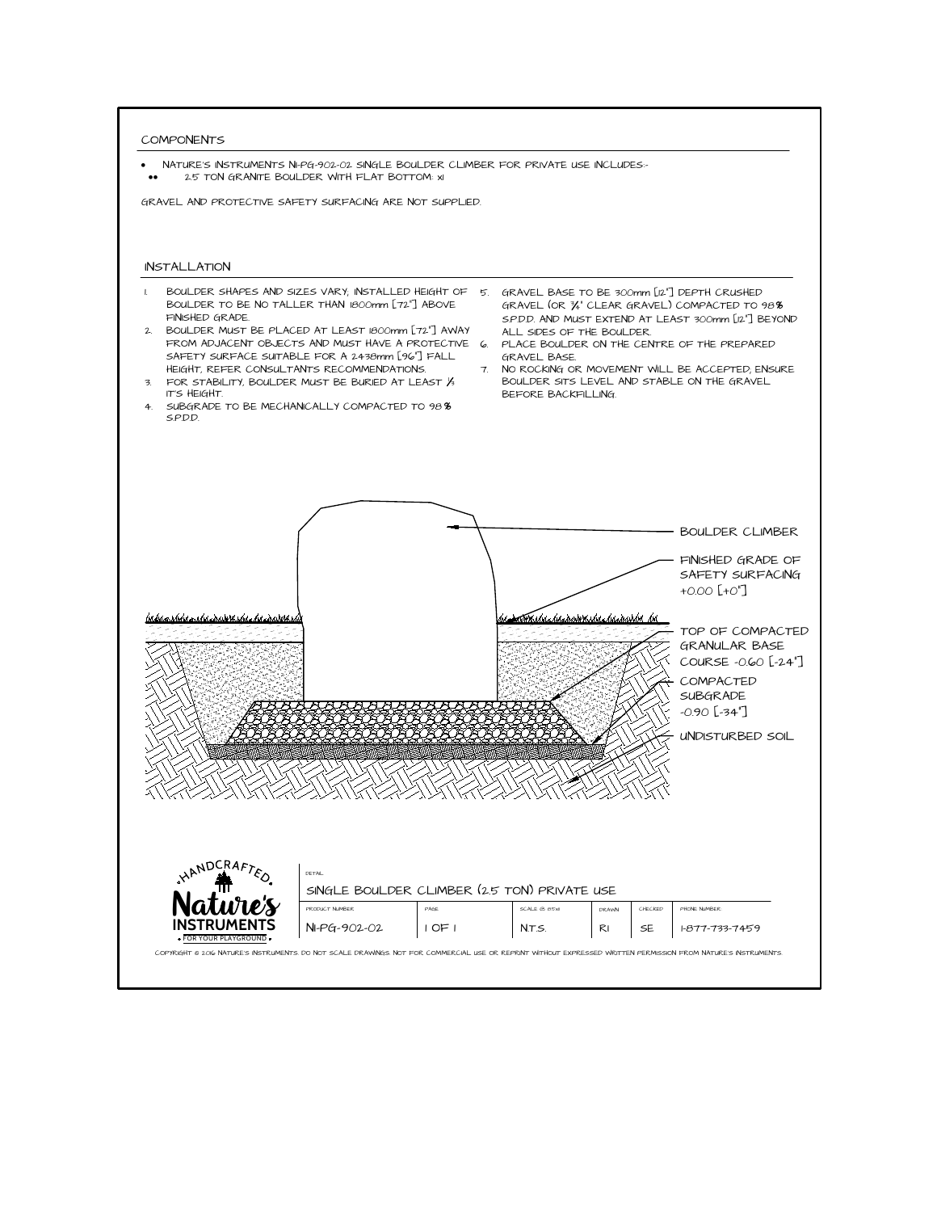COMPONENTS<br>• NATURE'S INS<br>• 2.5 TON<br>GRAVEL AND PRO<br>INSTALLATION



- 
- 
- 
- 
- 
- 
-